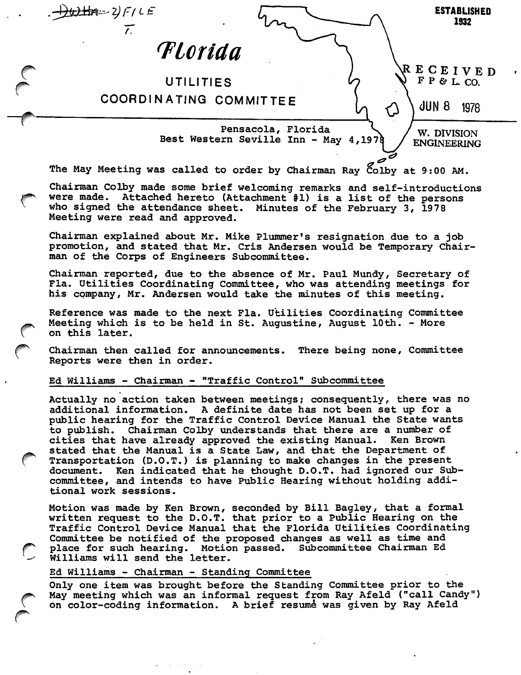$\pm 2\pm 2$  /  $F / L E$ ESTABLISHED 1932  $\overline{L}$ **T**lorida E C E I V E D F P & L. CO. UTILITIES COORDINATING COMMITTEE <)UN 8 1978 Pensacola, Florida W. DIVISION Best Western Seville Inn - May 4,197 ENGINEERING The May Meeting was called to order by Chairman Ray Colby at 9:00 AM. Chairman Colby made some brief welcoming remarks and self-introductions were made. Attached hereto (Attachment #1) is a list of the persons who signed the attendance sheet. Minutes of the February 3, 1978 Meeting were read and approved. Chairman explained about Mr. Mike Plummer's resignation due to a job promotion, and stated that Mr. Cris Andersen would be Temporary Chairman of the Corps of Engineers Subcommittee. Chairman reported, due to the absence of Mr. Paul Mundy, Secretary of Fla. Utilities Coordinating Committee, who was attending meetings for his company, Mr. Andersen would take the minutes of this meeting. Reference was made to the next Fla. Utilities Coordinating Committee Meeting which is to be held in St. Augustine, August 10th. - More on this later. Chairman then called for announcements. There being none. Committee Reports were then in order. Ed Williams - Chairman - "Traffic Control" Subcommittee Actually no action taken between meetings; consequently, there was no additional information. A definite date has not been set up for a public hearing for the Traffic Control Device Manual the State wants to publish. Chairman Colby understands that there are a number of cities that have already approved the existing Manual. Ken Brown stated that the Manual is a State Law, and that the Department of Transportation (D.O.T.) is planning to make changes in the present document. Ken indicated that he thought D.O.T. had ignored our Subcommittee, and intends to have Public Hearing without holding additional work sessions. Motion was made by Ken Brown, seconded by Bill Bagley, that a formal written request to the D.O.T. that prior to a Public Hearing on the Traffic Control Device Manual that the Florida Utilities Coordinating Committee be notified of the proposed changes as well as time and place for such hearing. Motion passed. Subcommittee Chairman Ed Williams will send the letter. Ed Williams - Chairman - Standing Committee Only one item was brought before the Standing Committee prior to the May meeting which was an informal request from Ray Afeld ("call Candy") on color-coding information. A brief resume was given by Ray Afeld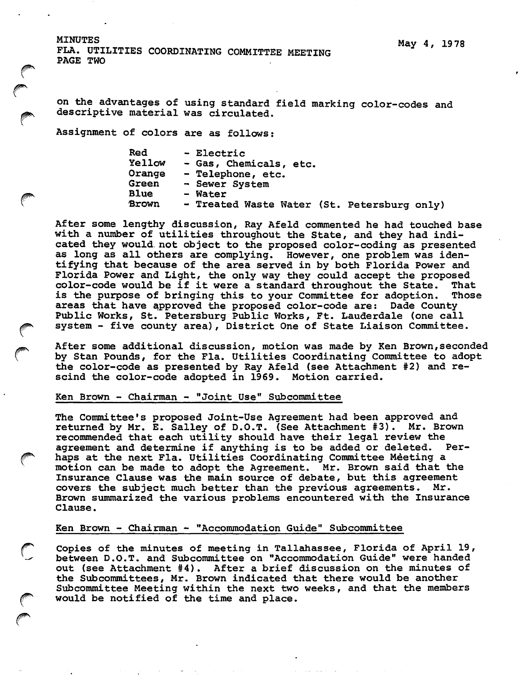MINUTES FLA. UTILITIES COORDINATING COMMITTEE MEETING PAGE TWO

on the advantages of using standard field marking color-codes and descriptive material was circulated.

Assignment of colors are as follows:

| Red          | - Electric                                  |
|--------------|---------------------------------------------|
| Yellow       | - Gas, Chemicals, etc.                      |
| Orange       | - Telephone, etc.                           |
| <b>Green</b> | - Sewer System                              |
| <b>Blue</b>  | - Water                                     |
| <b>Brown</b> | - Treated Waste Water (St. Petersburg only) |

After some lengthy discussion, Ray Afeld commented he had touched base with a number of utilities throughout the State, and they had indi cated they would, not object to the proposed color-coding as presented as long as all others are complying. However, one problem was iden tifying that because of the area served in by both Florida Power and Florida Power and Light, the only way they could accept the proposed color-code would be if it were a standard throughout the State. That<br>is the purpose of bringing this to your Committee for adoption. Those is the purpose of bringing this to your Committee for adoption. areas that have approved the proposed color-code are; Dade County Public Works, St. Petersburg Public Works, Ft. Lauderdale (one call system - five county area), District One of State Liaison Committee.

After some additional discussion, motion was made by Ken Brown,seconded by Stan Pounds, for the Fla. Utilities Coordinating Committee to adopt the color-code as presented by Ray Afeld (see Attachment #2) and re scind the color-code adopted in 1969. Motion carried.

### Ken Brown - Chairman - "Joint Use" Subcommittee

The Committee's proposed Joint-Use Agreement had been approved and returned by Mr. E. Salley of D.O.T. (See Attachment #3). Mr. Brown recommended that each utility should have their legal review the agreement and determine if anything is to be added or deleted. haps at the next Fla. Utilities Coordinating Committee Meeting a motion can be made to adopt the Agreement. Mr. Brown said that the Insurance Clause was the main source of debate, but this agreement covers the subject much better than the previous agreements. Mr. covers the subject much better than the previous agreements. Brown summarized the various problems encountered with the Insurance Clause.

### Ken Brown - Chairman - "Accommodation Guide" Subcommittee

Copies of the minutes of meeting in Tallahassee, Florida of April 19, between D.O.T. and Subcommittee on "Accommodation Guide" were handed out (see Attachment #4). After a brief discussion on the minutes of the Subcommittees, Mr. Brown indicated that there would be another Subcommittee Meeting within the next two weeks, and that the members would be notified of the time and place.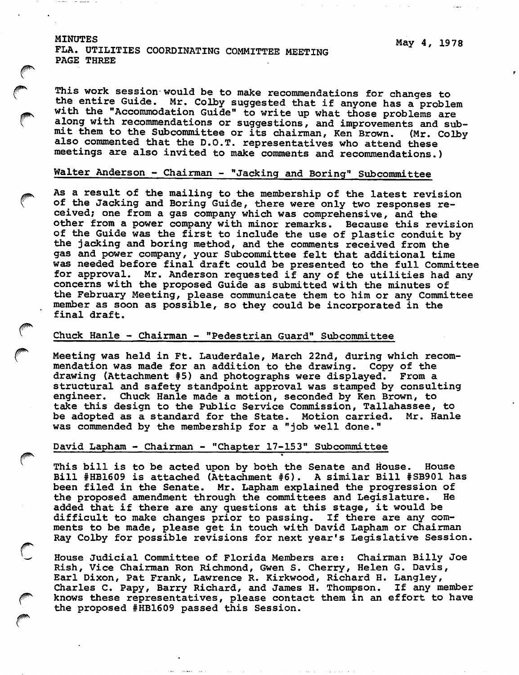#### MINUTES

This work session would be to make recommendations for changes to the entire Guide. Mr. Colby suggested that if anyone has a problem with the "Accommodation Guide" to write up what those problems are along with recommendations or suggestions, and improvements and submit them to the Subcommittee or its chairman. Ken Brown. (Mr. Colby also commented that the D.O.T. representatives who attend these meetings are also invited to make comments and recommendations.)

## Walter Anderson - Chairman - "Jacking and Boring" Subcommittee

As a result of the mailing to the membership of the latest revision of the Jacking and Boring Guide, there were only two responses re ceived; one from a gas company which was comprehensive, and the other from a power company with minor remarks. Because this revision of the Guide was the first to include the use of plastic conduit by the jacking and boring method, and the comments received from the gas and power company, your Subcommittee felt that additional time was needed before final draft could be presented to the full Committee for approval. Mr. Anderson requested if any of the utilities had any concerns with the proposed Guide as submitted with the minutes of the February Meeting, please communicate them to him or any Committee member as soon as possible, so they could be incorporated in the final draft.

#### Chuck Hanle - Chairman - "Pedestrian Guard" Subcommittee

Meeting was held in Ft. Lauderdale, March 22nd, during which recom mendation was made for an addition to the drawing. Copy of the drawing (Attachment #5) and photographs were displayed. From a structural and safety standpoint approval was stamped by consulting engineer. Chuck Hanle made a motion, seconded by Ken Brown, to take this design to the Public Service Commission, Tallahassee, to be adopted as a standard for the State. Motion carried. Mr. Hanle was commended by the membership for a "job well done."

#### David Lapham - Chairman - "Chapter 17-153" Subcommittee

This bill is to be acted upon by both the Senate and House. House Bill #HB1609 is attached (Attachment #6). A similar Bill #SB901 has been filed in the Senate. Mr. Lapham explained the progression of the proposed amendment through the committees and Legislature. He added that if there are any questions at this stage, it would be difficult to make changes prior to passing. If there are any com ments to be made, please get in touch with David Lapham or Chairman Ray Colby for possible revisions for next year's Legislative Session.

»

House Judicial Committee of Florida Members are: Chairman Billy Joe Rish, Vice Chairman Ron Richmond, Gwen S. Cherry, Helen G. Davis, Earl Dixon, Pat Frank, Lawrence R. Kirkwood, Richard H. Langley, Charles C. Papy, Barry Richard, and James H. Thompson. If any member knows these representatives, please contact them in an effort to have the proposed #HB1609 passed this Session.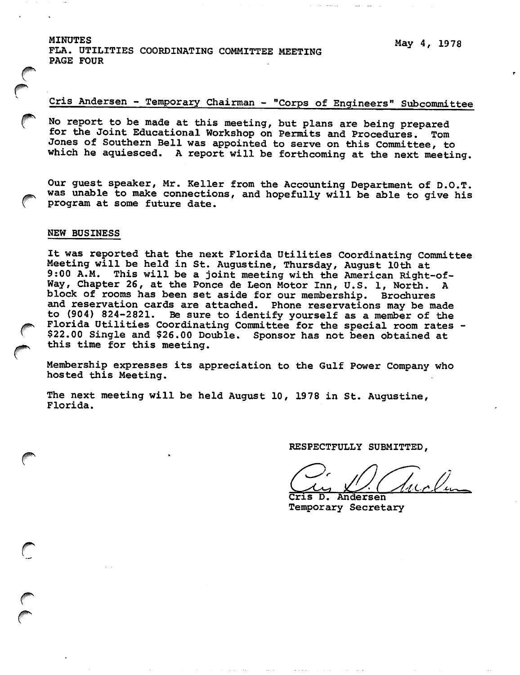MINUTES FLA. UTILITIES COORDINATING COMMITTEE MEETING PAGE FOUR

# Cris Andersen - Temporary Chairman - "Corps of Engineers" Subcommittee

No report to be made at this meeting, but plans are being prepared for the Joint Educational Workshop on Permits and Procedures. Tom Jones of Southern Bell was appointed to serve on this Committee, to which he aquiesced. A report will be forthcoming at the next meeting.

Our guest speaker, Mr. Keller from the Accounting Department of D.O.T. was unable to make connections, and hopefully will be able to give his program at some future date.

#### NEW BUSINESS

It was reported that the next Florida Utilities Coordinating Committee Meeting will be held in St. Augustine, Thursday, August 10th at 9:00 A.M. This will be a joint meeting with the American Right-of-Way, Chapter 26, at the Ponce de Leon Motor Inn, U.S. 1, North. A block of rooms has been set aside for our membership. Brochures and reservation cards are attached. Phone reservations may be made to (904) 824-2821. Be sure to identify yourself as a member of the Florida Utilities Coordinating Committee for the special room rates - \$22.00 Single and \$26.00 Double. Sponsor has not been obtained at this time for this meeting.

Membership expresses its appreciation to the Gulf Power Company who hosted this Meeting.

The next meeting will be held August 10, 1978 in St. Augustine, Florida.

RESPECTFULLY SUBMITTED,

Cris D. Andersen Temporary Secretary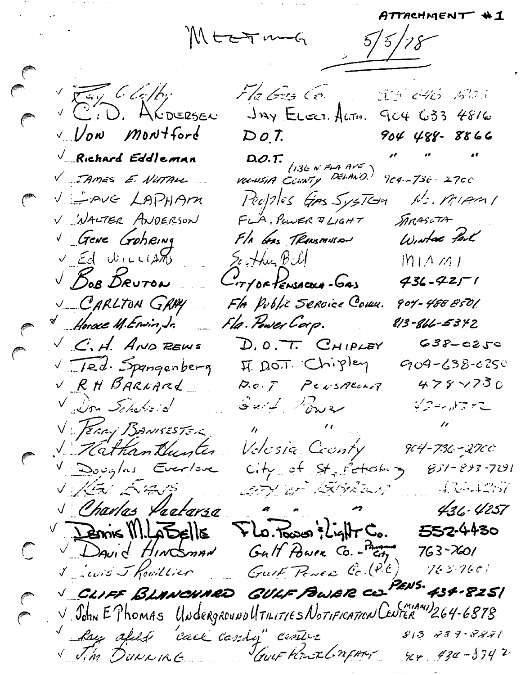MEETING

 $5/5/78$ 

Very Clothy Fla Gus Co. 33 646 AOS V CID. ALDERSEN JAY ELECT. ALTH. 904 633 4816  $DoI.$ V. Vow Montford  $904$  488 - 8866 a a a  $\sqrt{\phantom{a}$ Richard Eddleman D.O.T.<br>1.36 N Fra AVE<br>Vocusia County Derawn V JAMES E. NUTALL  $9c4 - 73c + 27c0$ Peoples GAS SysTem  $N:$  Migni VEAVE LAPHAM V WALTER ANDERSON FLA, PULER & LIGHT SARASLTA Fla Gas TRANSMUSAN Wintac fail Gene Goheing  $v_{\perp}$  Ed WILLIAMS Scythen Bill  $M1112$ BOB DRUTON -17/OF PENSACOUN-GAS  $436 - 4251$ V CARLTON GRAY Fla Public Service Coux. 904 - 488 850[ Fla. Power Corp.  $\overline{M}$  Horace M. Environ, Jr. 813-866-5342  $\sqrt{C}$ , H. AND REWS  $D.0.7.$  CHIPLEY  $638 - 0250$ V Ted. Spangenberg IT DOT. Chipley  $909 - 638 - 6250$ V RH BARNARD  $478 \times 730$  $D. o. F$  PersAcarA  $G$ *url Power* Vous Fre Villon Scheffeld  $\hat{R}_{\rm{max}} = 10^{10}$ V FERRY BANKESTER Vilathantlunter Velosia County 904-736-2700 V Douglas Everlove  $C_1 + y_0$  of  $S_1 + y_0 + z_1 z_2 z_3 - 851 - 893 - 7291$ V KEV EVENS BEY OF BOROUS  $-4.3 - 4.257$  $\alpha$   $\alpha$ S Charles Paatarsa  $436 - 4257$  $Flo.$ Tower 's Light Co.  $\sqrt{2\pi}$   $\frac{1}{2}$   $\frac{1}{2}$   $\frac{1}{2}$   $\frac{1}{2}$   $\frac{1}{2}$   $\frac{1}{2}$   $\frac{1}{2}$   $\frac{1}{2}$   $\frac{1}{2}$   $\frac{1}{2}$   $\frac{1}{2}$   $\frac{1}{2}$   $\frac{1}{2}$   $\frac{1}{2}$   $\frac{1}{2}$   $\frac{1}{2}$   $\frac{1}{2}$   $\frac{1}{2}$   $\frac{1}{2}$   $\frac{1}{2}$   $\frac{1}{2}$  552.4430 David HINCOMAN Gult Power Co. - Parama  $763 - x601$  $\mathbb{C}$ Views J Rowillier Guit Power Co. (P.C.)  $763 - 7601$ PEN 5\* 434 · 825 | V CLIFF BLANCHARD GULF POWER CO. V John E Phomas UNderground UTILITIES NOTIFICATION CENTER 264-6878  $813 - 839 - 8881$ hay afill "call cardy" center V Jim DUNNING JAUF POURLINGEN,  $484 + 3742$